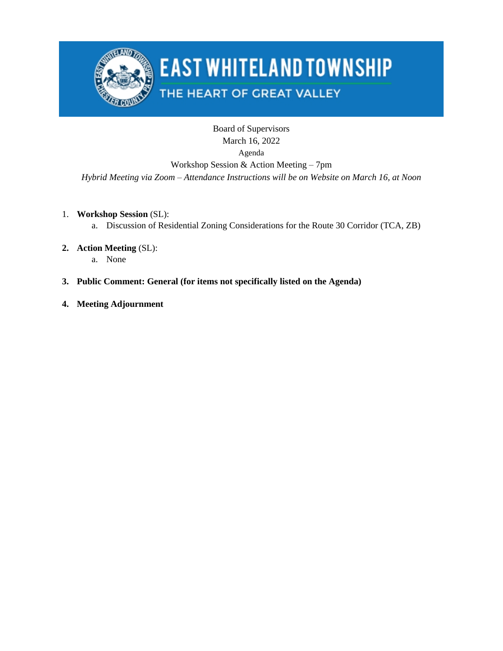

# **EAST WHITELAND TOWNSHIP**

## THE HEART OF GREAT VALLEY

### Board of Supervisors March 16, 2022 Agenda Workshop Session & Action Meeting – 7pm

*Hybrid Meeting via Zoom – Attendance Instructions will be on Website on March 16, at Noon*

- 1. **Workshop Session** (SL):
	- a. Discussion of Residential Zoning Considerations for the Route 30 Corridor (TCA, ZB)
- **2. Action Meeting** (SL):
	- a. None
- **3. Public Comment: General (for items not specifically listed on the Agenda)**
- **4. Meeting Adjournment**